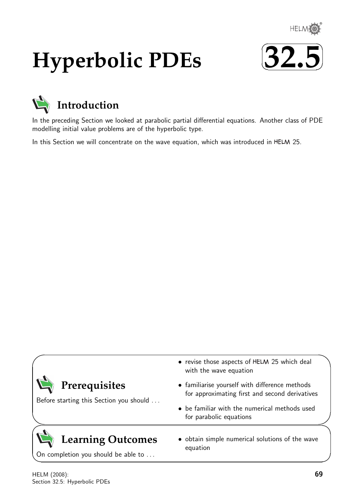

# **Hyperbolic PDEs**





In the preceding Section we looked at parabolic partial differential equations. Another class of PDE modelling initial value problems are of the hyperbolic type.

In this Section we will concentrate on the wave equation, which was introduced in HELM 25.

| Prerequisites<br>Before starting this Section you should | • revise those aspects of HELM 25 which deal<br>with the wave equation<br>• familiarise yourself with difference methods<br>for approximating first and second derivatives<br>• be familiar with the numerical methods used<br>for parabolic equations |
|----------------------------------------------------------|--------------------------------------------------------------------------------------------------------------------------------------------------------------------------------------------------------------------------------------------------------|
| <b>Learning Outcomes</b>                                 | • obtain simple numerical solutions of the wave                                                                                                                                                                                                        |
| On completion you should be able to                      | equation                                                                                                                                                                                                                                               |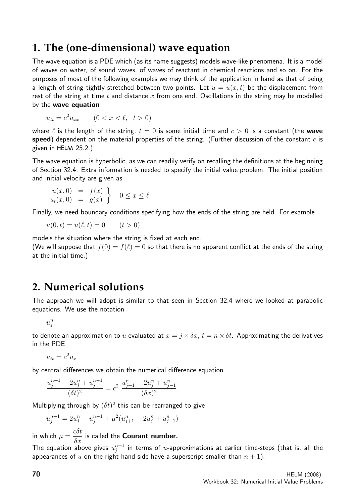# **1. The (one-dimensional) wave equation**

The wave equation is a PDE which (as its name suggests) models wave-like phenomena. It is a model of waves on water, of sound waves, of waves of reactant in chemical reactions and so on. For the purposes of most of the following examples we may think of the application in hand as that of being a length of string tightly stretched between two points. Let  $u = u(x, t)$  be the displacement from rest of the string at time t and distance  $x$  from one end. Oscillations in the string may be modelled by the wave equation

$$
u_{tt} = c^2 u_{xx} \qquad (0 < x < \ell, \ t > 0)
$$

where  $\ell$  is the length of the string,  $t = 0$  is some initial time and  $c > 0$  is a constant (the wave speed) dependent on the material properties of the string. (Further discussion of the constant  $c$  is given in HELM 25.2.)

The wave equation is hyperbolic, as we can readily verify on recalling the definitions at the beginning of Section 32.4. Extra information is needed to specify the initial value problem. The initial position and initial velocity are given as

$$
u(x,0) = f(x)
$$
  

$$
u_t(x,0) = g(x)
$$
 0 \le x \le \ell

Finally, we need boundary conditions specifying how the ends of the string are held. For example

$$
u(0, t) = u(\ell, t) = 0 \qquad (t > 0)
$$

models the situation where the string is fixed at each end.

(We will suppose that  $f(0) = f(\ell) = 0$  so that there is no apparent conflict at the ends of the string at the initial time.)

# **2. Numerical solutions**

The approach we will adopt is similar to that seen in Section 32.4 where we looked at parabolic equations. We use the notation

 $u_j^n$ 

to denote an approximation to u evaluated at  $x = j \times \delta x$ ,  $t = n \times \delta t$ . Approximating the derivatives in the PDE

$$
u_{tt} = c^2 u_x
$$

by central differences we obtain the numerical difference equation

$$
\frac{u_j^{n+1} - 2u_j^n + u_j^{n-1}}{(\delta t)^2} = c^2 \frac{u_{j+1}^n - 2u_j^n + u_{j-1}^n}{(\delta x)^2}.
$$

Multiplying through by  $(\delta t)^2$  this can be rearranged to give

$$
u_j^{n+1} = 2u_j^n - u_j^{n-1} + \mu^2 (u_{j+1}^n - 2u_j^n + u_{j-1}^n)
$$

in which  $\mu =$ cδt  $\frac{\partial \sigma}{\partial x}$  is called the **Courant number.** 

The equation above gives  $u_i^{n+1}$  $_{j}^{n+1}$  in terms of  $u$ -approximations at earlier time-steps (that is, all the appearances of u on the right-hand side have a superscript smaller than  $n + 1$ ).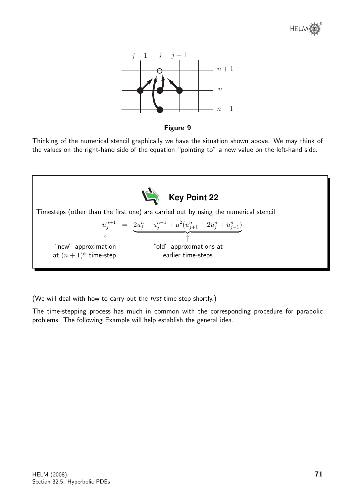

Figure 9

Thinking of the numerical stencil graphically we have the situation shown above. We may think of the values on the right-hand side of the equation "pointing to" a new value on the left-hand side.



(We will deal with how to carry out the first time-step shortly.)

The time-stepping process has much in common with the corresponding procedure for parabolic problems. The following Example will help establish the general idea.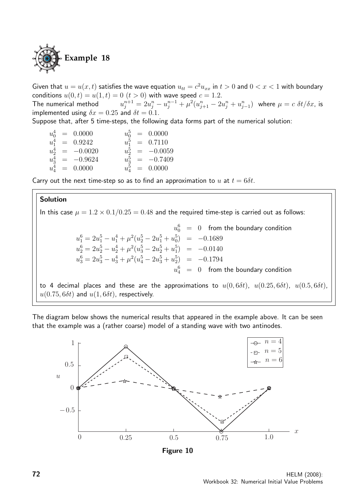

Given that  $u = u(x, t)$  satisfies the wave equation  $u_{tt} = c^2 u_{xx}$  in  $t > 0$  and  $0 < x < 1$  with boundary conditions  $u(0, t) = u(1, t) = 0$   $(t > 0)$  with wave speed  $c = 1.2$ . The numerical method  $u_j^{n+1}=2u_j^n-u_j^{n-1}+\mu^2(u_{j+1}^n-2u_j^n+u_{j-1}^n)$  where  $\mu=c\,\,\delta t/\delta x$ , is implemented using  $\delta x = 0.25$  and  $\delta t = 0.1$ . Suppose that, after 5 time-steps, the following data forms part of the numerical solution:

| $u_0^4$ | = 0.0000  | $u_0^5$ | = 0.0000  |
|---------|-----------|---------|-----------|
| $u_1^4$ | = 0.9242  | $u_1^5$ | = 0.7110  |
| $u_2^4$ | = -0.0020 | $u_2^5$ | = -0.0059 |
| $u_3^4$ | = -0.9624 | $u_3^5$ | = -0.7409 |
| $u_4^4$ | = 0.0000  | $u_4^5$ | = 0.0000  |

Carry out the next time-step so as to find an approximation to u at  $t = 6\delta t$ .

#### Solution

In this case  $\mu = 1.2 \times 0.1/0.25 = 0.48$  and the required time-step is carried out as follows:

$$
u_0^6 = 0 \text{ from the boundary condition}
$$
  
\n
$$
u_1^6 = 2u_1^5 - u_1^4 + \mu^2(u_2^5 - 2u_1^5 + u_0^5) = -0.1689
$$
  
\n
$$
u_2^6 = 2u_2^5 - u_2^4 + \mu^2(u_3^5 - 2u_2^5 + u_1^5) = -0.0140
$$
  
\n
$$
u_3^6 = 2u_3^5 - u_3^4 + \mu^2(u_4^5 - 2u_3^5 + u_2^5) = -0.1794
$$
  
\n
$$
u_4^6 = 0 \text{ from the boundary condition}
$$
  
\n
$$
\lim_{\text{dim}^2 \to 0} \text{ places and these are the approximations to } u(0.68t) - u(0.25.68t) - u(0.58t)
$$

to 4 decimal places and these are the approximations to  $u(0, 6\delta t)$ ,  $u(0.25, 6\delta t)$ ,  $u(0.5, 6\delta t)$ ,  $u(0.75, 6\delta t)$  and  $u(1, 6\delta t)$ , respectively.

The diagram below shows the numerical results that appeared in the example above. It can be seen that the example was a (rather coarse) model of a standing wave with two antinodes.



Figure 10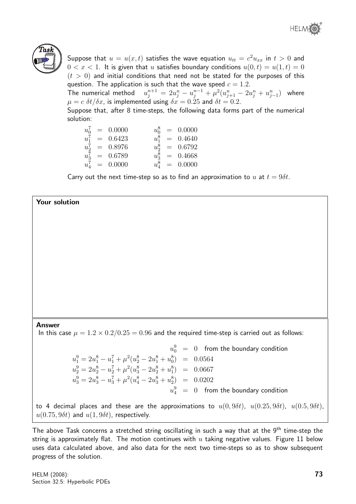



Suppose that  $u=u(x,t)$  satisfies the wave equation  $u_{tt}=c^2u_{xx}$  in  $t>0$  and  $0 < x < 1$ . It is given that u satisfies boundary conditions  $u(0, t) = u(1, t) = 0$  $(t > 0)$  and initial conditions that need not be stated for the purposes of this question. The application is such that the wave speed  $c = 1.2$ .

The numerical method  $u_j^{n+1} = 2u_j^{n} - u_j^{n-1} + \mu^2 (u_{j+1}^{n} - 2u_j^{n} + u_{j-1}^{n})$  where  $\mu = c \delta t / \delta x$ , is implemented using  $\delta x = 0.25$  and  $\delta t = 0.2$ .

Suppose that, after 8 time-steps, the following data forms part of the numerical solution:

 $u_0^7 = 0.0000$   $u_0^8 = 0.0000$  $u_1^7 = 0.6423$   $u_1^8 = 0.4640$  $u_2^7 = 0.8976$   $u_2^8 = 0.6792$  $u_3^7 = 0.6789$   $u_3^8 = 0.4668$  $u_4^7 = 0.0000$   $u_4^8 = 0.0000$ 

Carry out the next time-step so as to find an approximation to u at  $t = 9\delta t$ .

## Your solution

#### Answer

In this case  $\mu = 1.2 \times 0.2/0.25 = 0.96$  and the required time-step is carried out as follows:

 $u_0^9 = 0$  from the boundary condition  $u_1^9 = 2u_1^8 - u_1^7 + \mu^2(u_2^8 - 2u_1^8 + u_0^8) = 0.0564$  $u_2^9 = 2u_2^8 - u_2^7 + \mu^2(u_3^8 - 2u_2^8 + u_1^8) = 0.0667$  $u_3^9 = 2u_3^8 - u_3^7 + \mu^2(u_4^8 - 2u_3^8 + u_2^8) = 0.0202$  $u_4^9 = 0$  from the boundary condition

to 4 decimal places and these are the approximations to  $u(0, 9\delta t)$ ,  $u(0.25, 9\delta t)$ ,  $u(0.5, 9\delta t)$ ,  $u(0.75, 9\delta t)$  and  $u(1, 9\delta t)$ , respectively.

The above Task concerns a stretched string oscillating in such a way that at the 9<sup>th</sup> time-step the string is approximately flat. The motion continues with  $u$  taking negative values. Figure 11 below uses data calculated above, and also data for the next two time-steps so as to show subsequent progress of the solution.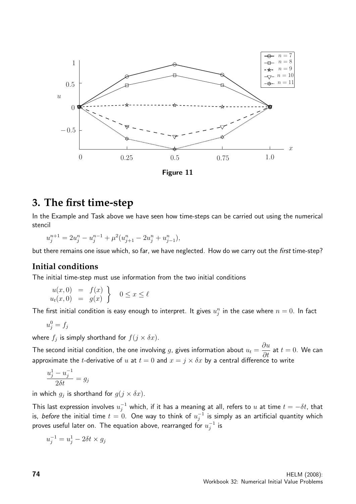

## **3. The first time-step**

In the Example and Task above we have seen how time-steps can be carried out using the numerical stencil

$$
u_j^{n+1} = 2u_j^n - u_j^{n-1} + \mu^2 (u_{j+1}^n - 2u_j^n + u_{j-1}^n),
$$

but there remains one issue which, so far, we have neglected. How do we carry out the first time-step?

## **Initial conditions**

The initial time-step must use information from the two initial conditions

$$
u(x, 0) = f(x)
$$
  

$$
u_t(x, 0) = g(x)
$$
 0 \le x \le \ell

The first initial condition is easy enough to interpret. It gives  $u_j^n$  in the case where  $n=0$ . In fact

$$
u_j^0 = f_j
$$

where  $f_j$  is simply shorthand for  $f(j \times \delta x)$ .

The second initial condition, the one involving  $g$ , gives information about  $u_t =$ ∂u  $\frac{\partial u}{\partial t}$  at  $t = 0$ . We can approximate the t-derivative of u at  $t = 0$  and  $x = j \times \delta x$  by a central difference to write

$$
\frac{u_j^1 - u_j^{-1}}{2\delta t} = g_j
$$

in which  $g_j$  is shorthand for  $g(j \times \delta x)$ .

This last expression involves  $u_j^{-1}$  which, if it has a meaning at all, refers to  $u$  at time  $t=-\delta t$ , that is, before the initial time  $t=0$ . One way to think of  $u_i^{-1}$  $_{j}^{-1}$  is simply as an artificial quantity which proves useful later on. The equation above, rearranged for  $u_i^{-1}$  $^{-1}_j$  is

$$
u_j^{-1} = u_j^1 - 2\delta t \times g_j
$$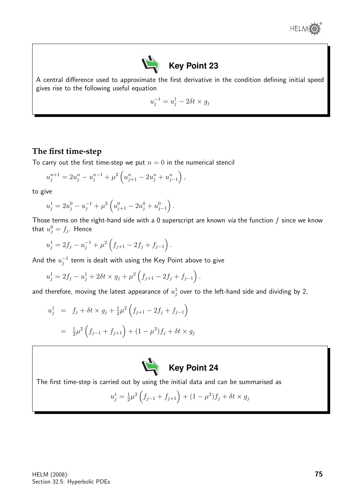



A central difference used to approximate the first derivative in the condition defining initial speed gives rise to the following useful equation

$$
u_j^{-1} = u_j^1 - 2\delta t \times g_j
$$

## **The first time-step**

To carry out the first time-step we put  $n = 0$  in the numerical stencil

$$
u_j^{n+1} = 2u_j^n - u_j^{n-1} + \mu^2 \left( u_{j+1}^n - 2u_j^n + u_{j-1}^n \right),
$$

to give

$$
u_j^1 = 2u_j^0 - u_j^{-1} + \mu^2 \left( u_{j+1}^0 - 2u_j^0 + u_{j-1}^0 \right).
$$

Those terms on the right-hand side with a 0 superscript are known via the function  $f$  since we know that  $u_j^0 = f_j$ . Hence

$$
u_j^1 = 2f_j - u_j^{-1} + \mu^2 \left( f_{j+1} - 2f_j + f_{j-1} \right).
$$

And the  $u_i^{-1}$  $_{j}^{-1}$  term is dealt with using the Key Point above to give

$$
u_j^1 = 2f_j - u_j^1 + 2\delta t \times g_j + \mu^2 \left( f_{j+1} - 2f_j + f_{j-1} \right).
$$

and therefore, moving the latest appearance of  $u^1_j$  over to the left-hand side and dividing by 2,

$$
u_j^1 = f_j + \delta t \times g_j + \frac{1}{2}\mu^2 \left( f_{j+1} - 2f_j + f_{j-1} \right)
$$
  
= 
$$
\frac{1}{2}\mu^2 \left( f_{j-1} + f_{j+1} \right) + (1 - \mu^2)f_j + \delta t \times g_j
$$



The first time-step is carried out by using the initial data and can be summarised as

$$
u_j^1 = \frac{1}{2}\mu^2 \left(f_{j-1} + f_{j+1}\right) + (1 - \mu^2)f_j + \delta t \times g_j
$$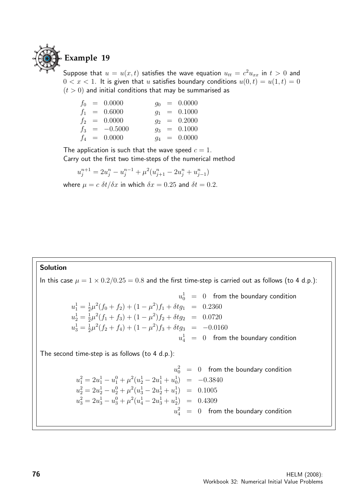

Suppose that  $u = u(x,t)$  satisfies the wave equation  $u_{tt} = c^2 u_{xx}$  in  $t > 0$  and  $0 < x < 1$ . It is given that u satisfies boundary conditions  $u(0, t) = u(1, t) = 0$  $(t > 0)$  and initial conditions that may be summarised as

|  | $f_0 = 0.0000$  |  | $q_0 = 0.0000$ |
|--|-----------------|--|----------------|
|  | $f_1 = 0.6000$  |  | $q_1 = 0.1000$ |
|  | $f_2 = 0.0000$  |  | $q_2 = 0.2000$ |
|  | $f_3 = -0.5000$ |  | $q_3 = 0.1000$ |
|  | $f_4 = 0.0000$  |  | $q_4 = 0.0000$ |

The application is such that the wave speed  $c = 1$ . Carry out the first two time-steps of the numerical method

$$
u_j^{n+1} = 2u_j^n - u_j^{n-1} + \mu^2 (u_{j+1}^n - 2u_j^n + u_{j-1}^n)
$$

where  $\mu = c \delta t / \delta x$  in which  $\delta x = 0.25$  and  $\delta t = 0.2$ .

#### Solution

In this case  $\mu = 1 \times 0.2/0.25 = 0.8$  and the first time-step is carried out as follows (to 4 d.p.):

$$
u_0^1 = 0 \quad \text{from the boundary condition}
$$
\n
$$
u_1^1 = \frac{1}{2}\mu^2(f_0 + f_2) + (1 - \mu^2)f_1 + \delta t g_1 = 0.2360
$$
\n
$$
u_2^1 = \frac{1}{2}\mu^2(f_1 + f_3) + (1 - \mu^2)f_2 + \delta t g_2 = 0.0720
$$
\n
$$
u_3^1 = \frac{1}{2}\mu^2(f_2 + f_4) + (1 - \mu^2)f_3 + \delta t g_3 = -0.0160
$$
\n
$$
u_4^1 = 0 \quad \text{from the boundary condition}
$$

The second time-step is as follows (to 4 d.p.):

$$
u_0^2 = 0 \quad \text{from the boundary condition}
$$
\n
$$
u_1^2 = 2u_1^1 - u_1^0 + \mu^2(u_2^1 - 2u_1^1 + u_0^1) = -0.3840
$$
\n
$$
u_2^2 = 2u_2^1 - u_2^0 + \mu^2(u_3^1 - 2u_2^1 + u_1^1) = 0.1005
$$
\n
$$
u_3^2 = 2u_3^1 - u_3^0 + \mu^2(u_4^1 - 2u_3^1 + u_2^1) = 0.4309
$$
\n
$$
u_4^2 = 0 \quad \text{from the boundary condition}
$$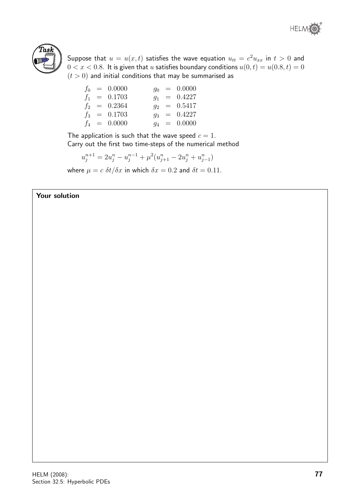



Suppose that  $u=u(x,t)$  satisfies the wave equation  $u_{tt}=c^2u_{xx}$  in  $t>0$  and  $0 < x < 0.8$ . It is given that u satisfies boundary conditions  $u(0, t) = u(0.8, t) = 0$  $(t > 0)$  and initial conditions that may be summarised as

|  | $f_0 = 0.0000$ |  | $q_0 = 0.0000$ |
|--|----------------|--|----------------|
|  | $f_1 = 0.1703$ |  | $q_1 = 0.4227$ |
|  | $f_2 = 0.2364$ |  | $q_2 = 0.5417$ |
|  | $f_3 = 0.1703$ |  | $q_3 = 0.4227$ |
|  | $f_4 = 0.0000$ |  | $q_4 = 0.0000$ |

The application is such that the wave speed  $c = 1$ . Carry out the first two time-steps of the numerical method

$$
u_j^{n+1} = 2u_j^n - u_j^{n-1} + \mu^2 (u_{j+1}^n - 2u_j^n + u_{j-1}^n)
$$

where  $\mu = c \delta t / \delta x$  in which  $\delta x = 0.2$  and  $\delta t = 0.11$ .

## Your solution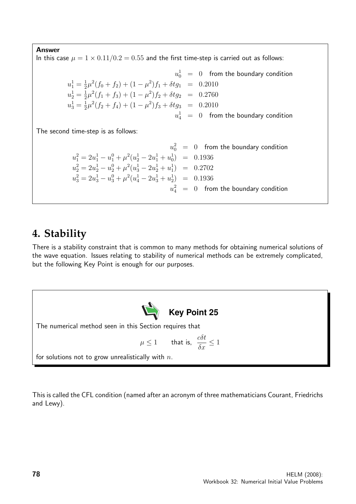#### Answer

In this case  $\mu = 1 \times 0.11/0.2 = 0.55$  and the first time-step is carried out as follows:

$$
u_0^1 = 0 \quad \text{from the boundary condition}
$$
\n
$$
u_1^1 = \frac{1}{2}\mu^2(f_0 + f_2) + (1 - \mu^2)f_1 + \delta t g_1 = 0.2010
$$
\n
$$
u_2^1 = \frac{1}{2}\mu^2(f_1 + f_3) + (1 - \mu^2)f_2 + \delta t g_2 = 0.2760
$$
\n
$$
u_3^1 = \frac{1}{2}\mu^2(f_2 + f_4) + (1 - \mu^2)f_3 + \delta t g_3 = 0.2010
$$
\n
$$
u_4^1 = 0 \quad \text{from the boundary condition}
$$

The second time-step is as follows:

$$
u_0^2 = 0 \quad \text{from the boundary condition}
$$
\n
$$
u_1^2 = 2u_1^1 - u_1^0 + \mu^2(u_2^1 - 2u_1^1 + u_0^1) = 0.1936
$$
\n
$$
u_2^2 = 2u_2^1 - u_2^0 + \mu^2(u_3^1 - 2u_2^1 + u_1^1) = 0.2702
$$
\n
$$
u_3^2 = 2u_3^1 - u_3^0 + \mu^2(u_4^1 - 2u_3^1 + u_2^1) = 0.1936
$$
\n
$$
u_4^2 = 0 \quad \text{from the boundary condition}
$$

# **4. Stability**

There is a stability constraint that is common to many methods for obtaining numerical solutions of the wave equation. Issues relating to stability of numerical methods can be extremely complicated, but the following Key Point is enough for our purposes.



The numerical method seen in this Section requires that

$$
\mu \le 1 \qquad \text{that is,} \quad \frac{c \delta t}{\delta x} \le 1
$$

for solutions not to grow unrealistically with  $n$ .

This is called the CFL condition (named after an acronym of three mathematicians Courant, Friedrichs and Lewy).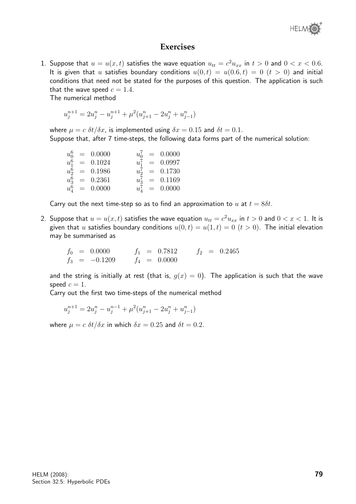

### **Exercises**

1. Suppose that  $u = u(x, t)$  satisfies the wave equation  $u_{tt} = c^2 u_{xx}$  in  $t > 0$  and  $0 < x < 0.6$ . It is given that u satisfies boundary conditions  $u(0,t) = u(0.6,t) = 0$   $(t > 0)$  and initial conditions that need not be stated for the purposes of this question. The application is such that the wave speed  $c = 1.4$ .

The numerical method

$$
u_j^{n+1} = 2u_j^n - u_j^{n+1} + \mu^2 (u_{j+1}^n - 2u_j^n + u_{j-1}^n)
$$

where  $\mu = c \delta t / \delta x$ , is implemented using  $\delta x = 0.15$  and  $\delta t = 0.1$ . Suppose that, after 7 time-steps, the following data forms part of the numerical solution:

| $u_0^7 = 0.0000$ |
|------------------|
| $u_1^7 = 0.0997$ |
| $u_2^7 = 0.1730$ |
| $u_3^7 = 0.1169$ |
| $u_4^7 = 0.0000$ |
|                  |

Carry out the next time-step so as to find an approximation to u at  $t = 8\delta t$ .

2. Suppose that  $u=u(x,t)$  satisfies the wave equation  $u_{tt}=c^2u_{xx}$  in  $t>0$  and  $0 < x < 1.$  It is given that u satisfies boundary conditions  $u(0, t) = u(1, t) = 0$   $(t > 0)$ . The initial elevation may be summarised as

$$
f_0 = 0.0000 \t f_1 = 0.7812 \t f_2 = 0.2465
$$
  

$$
f_3 = -0.1209 \t f_4 = 0.0000
$$

and the string is initially at rest (that is,  $g(x) = 0$ ). The application is such that the wave speed  $c = 1$ .

Carry out the first two time-steps of the numerical method

$$
u_j^{n+1} = 2u_j^n - u_j^{n-1} + \mu^2 (u_{j+1}^n - 2u_j^n + u_{j-1}^n)
$$

where  $\mu = c \delta t / \delta x$  in which  $\delta x = 0.25$  and  $\delta t = 0.2$ .